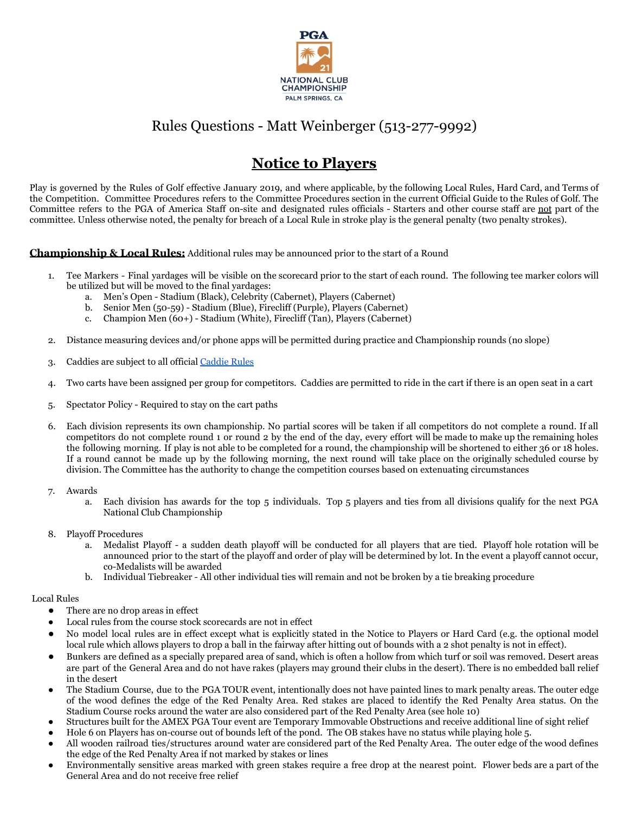

# Rules Questions - Matt Weinberger (513-277-9992)

# **Notice to Players**

Play is governed by the Rules of Golf effective January 2019, and where applicable, by the following Local Rules, Hard Card, and Terms of the Competition. Committee Procedures refers to the Committee Procedures section in the current Official Guide to the Rules of Golf. The Committee refers to the PGA of America Staff on-site and designated rules officials - Starters and other course staff are not part of the committee. Unless otherwise noted, the penalty for breach of a Local Rule in stroke play is the general penalty (two penalty strokes).

# **Championship & Local Rules:** Additional rules may be announced prior to the start of a Round

- 1. Tee Markers Final yardages will be visible on the scorecard prior to the start of each round. The following tee marker colors will be utilized but will be moved to the final yardages:
	- a. Men's Open Stadium (Black), Celebrity (Cabernet), Players (Cabernet)
	- b. Senior Men (50-59) Stadium (Blue), Firecliff (Purple), Players (Cabernet)
	- c. Champion Men (60+) Stadium (White), Firecliff (Tan), Players (Cabernet)
- 2. Distance measuring devices and/or phone apps will be permitted during practice and Championship rounds (no slope)
- 3. Caddies are subject to all official [Caddie Rules](https://www.pgaclubchamp.org/wp-content/uploads/2021/11/Caddie-Rules.pdf)
- 4. Two carts have been assigned per group for competitors. Caddies are permitted to ride in the cart if there is an open seat in a cart
- 5. Spectator Policy Required to stay on the cart paths
- 6. Each division represents its own championship. No partial scores will be taken if all competitors do not complete a round. If all competitors do not complete round 1 or round 2 by the end of the day, every effort will be made to make up the remaining holes the following morning. If play is not able to be completed for a round, the championship will be shortened to either 36 or 18 holes. If a round cannot be made up by the following morning, the next round will take place on the originally scheduled course by division. The Committee has the authority to change the competition courses based on extenuating circumstances
- 7. Awards
	- a. Each division has awards for the top 5 individuals. Top 5 players and ties from all divisions qualify for the next PGA National Club Championship
- 8. Playoff Procedures
	- a. Medalist Playoff a sudden death playoff will be conducted for all players that are tied. Playoff hole rotation will be announced prior to the start of the playoff and order of play will be determined by lot. In the event a playoff cannot occur, co-Medalists will be awarded
	- b. Individual Tiebreaker All other individual ties will remain and not be broken by a tie breaking procedure

#### Local Rules

- There are no drop areas in effect
- $\bullet$   $\quad$  Local rules from the course stock scorecards are not in effect
- No model local rules are in effect except what is explicitly stated in the Notice to Players or Hard Card (e.g. the optional model local rule which allows players to drop a ball in the fairway after hitting out of bounds with a 2 shot penalty is not in effect).
- Bunkers are defined as a specially prepared area of sand, which is often a hollow from which turf or soil was removed. Desert areas are part of the General Area and do not have rakes (players may ground their clubs in the desert). There is no embedded ball relief in the desert
- The Stadium Course, due to the PGA TOUR event, intentionally does not have painted lines to mark penalty areas. The outer edge of the wood defines the edge of the Red Penalty Area. Red stakes are placed to identify the Red Penalty Area status. On the Stadium Course rocks around the water are also considered part of the Red Penalty Area (see hole 10)
- Structures built for the AMEX PGA Tour event are Temporary Immovable Obstructions and receive additional line of sight relief
- Hole 6 on Players has on-course out of bounds left of the pond. The OB stakes have no status while playing hole 5.
- All wooden railroad ties/structures around water are considered part of the Red Penalty Area. The outer edge of the wood defines the edge of the Red Penalty Area if not marked by stakes or lines
- Environmentally sensitive areas marked with green stakes require a free drop at the nearest point. Flower beds are a part of the General Area and do not receive free relief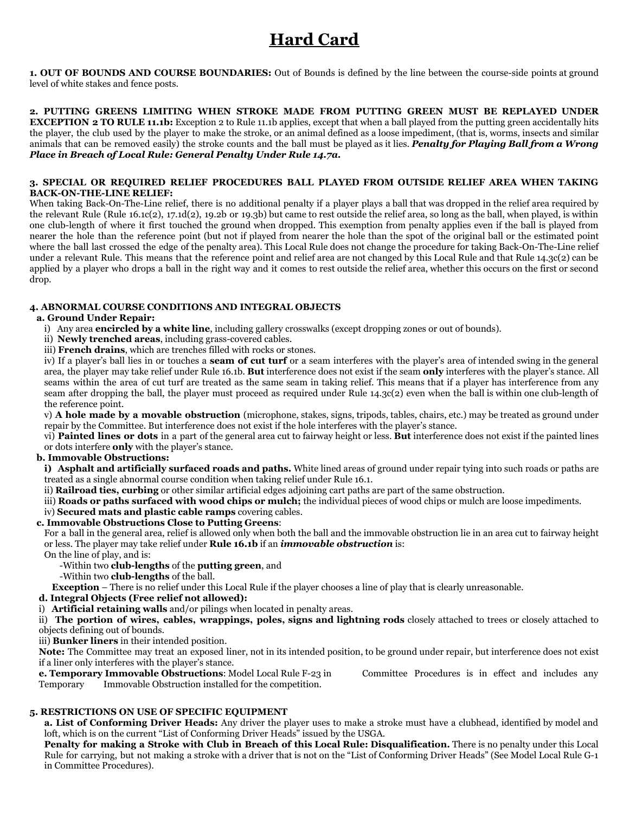# **Hard Card**

**1. OUT OF BOUNDS AND COURSE BOUNDARIES:** Out of Bounds is defined by the line between the course-side points at ground level of white stakes and fence posts.

**2. PUTTING GREENS LIMITING WHEN STROKE MADE FROM PUTTING GREEN MUST BE REPLAYED UNDER EXCEPTION 2 TO RULE 11.1b:** Exception 2 to Rule 11.1b applies, except that when a ball played from the putting green accidentally hits the player, the club used by the player to make the stroke, or an animal defined as a loose impediment, (that is, worms, insects and similar animals that can be removed easily) the stroke counts and the ball must be played as it lies. *Penalty for Playing Ball from a Wrong Place in Breach of Local Rule: General Penalty Under Rule 14.7a.*

#### **3. SPECIAL OR REQUIRED RELIEF PROCEDURES BALL PLAYED FROM OUTSIDE RELIEF AREA WHEN TAKING BACK-ON-THE-LINE RELIEF:**

When taking Back-On-The-Line relief, there is no additional penalty if a player plays a ball that was dropped in the relief area required by the relevant Rule (Rule 16.1c(2), 17.1d(2), 19.2b or 19.3b) but came to rest outside the relief area, so long as the ball, when played, is within one club-length of where it first touched the ground when dropped. This exemption from penalty applies even if the ball is played from nearer the hole than the reference point (but not if played from nearer the hole than the spot of the original ball or the estimated point where the ball last crossed the edge of the penalty area). This Local Rule does not change the procedure for taking Back-On-The-Line relief under a relevant Rule. This means that the reference point and relief area are not changed by this Local Rule and that Rule 14.3c(2) can be applied by a player who drops a ball in the right way and it comes to rest outside the relief area, whether this occurs on the first or second drop.

# **4. ABNORMAL COURSE CONDITIONS AND INTEGRAL OBJECTS**

## **a. Ground Under Repair:**

- i) Any area **encircled by a white line**, including gallery crosswalks (except dropping zones or out of bounds).
- ii) **Newly trenched areas**, including grass-covered cables.
- iii) **French drains**, which are trenches filled with rocks or stones.

iv) If a player's ball lies in or touches a **seam of cut turf** or a seam interferes with the player's area of intended swing in the general area, the player may take relief under Rule 16.1b. **But** interference does not exist if the seam **only** interferes with the player's stance. All seams within the area of cut turf are treated as the same seam in taking relief. This means that if a player has interference from any seam after dropping the ball, the player must proceed as required under Rule 14.3c(2) even when the ball is within one club-length of the reference point.

v) **A hole made by a movable obstruction** (microphone, stakes, signs, tripods, tables, chairs, etc.) may be treated as ground under repair by the Committee. But interference does not exist if the hole interferes with the player's stance.

vi) **Painted lines or dots** in a part of the general area cut to fairway height or less. **But** interference does not exist if the painted lines or dots interfere **only** with the player's stance.

## **b. Immovable Obstructions:**

**i) Asphalt and artificially surfaced roads and paths.** White lined areas of ground under repair tying into such roads or paths are treated as a single abnormal course condition when taking relief under Rule 16.1.

ii) **Railroad ties, curbing** or other similar artificial edges adjoining cart paths are part of the same obstruction.

iii) **Roads or paths surfaced with wood chips or mulch;** the individual pieces of wood chips or mulch are loose impediments.

## iv) **Secured mats and plastic cable ramps** covering cables.

## **c. Immovable Obstructions Close to Putting Greens**:

For a ball in the general area, relief is allowed only when both the ball and the immovable obstruction lie in an area cut to fairway height or less. The player may take relief under **Rule 16.1b** if an *immovable obstruction* is:

On the line of play, and is:

-Within two **club-lengths** of the **putting green**, and

-Within two **club-lengths** of the ball.

**Exception** – There is no relief under this Local Rule if the player chooses a line of play that is clearly unreasonable.

## **d. Integral Objects (Free relief not allowed):**

i) **Artificial retaining walls** and/or pilings when located in penalty areas.

ii) **The portion of wires, cables, wrappings, poles, signs and lightning rods** closely attached to trees or closely attached to objects defining out of bounds.

iii) **Bunker liners** in their intended position.

**Note:** The Committee may treat an exposed liner, not in its intended position, to be ground under repair, but interference does not exist if a liner only interferes with the player's stance.

**e. Temporary Immovable Obstructions**: Model Local Rule F-23 in Committee Procedures is in effect and includes any Temporary Immovable Obstruction installed for the competition.

## **5. RESTRICTIONS ON USE OF SPECIFIC EQUIPMENT**

**a. List of Conforming Driver Heads:** Any driver the player uses to make a stroke must have a clubhead, identified by model and loft, which is on the current "List of Conforming Driver Heads" issued by the USGA.

**Penalty for making a Stroke with Club in Breach of this Local Rule: Disqualification.** There is no penalty under this Local Rule for carrying, but not making a stroke with a driver that is not on the "List of Conforming Driver Heads" (See Model Local Rule G-1 in Committee Procedures).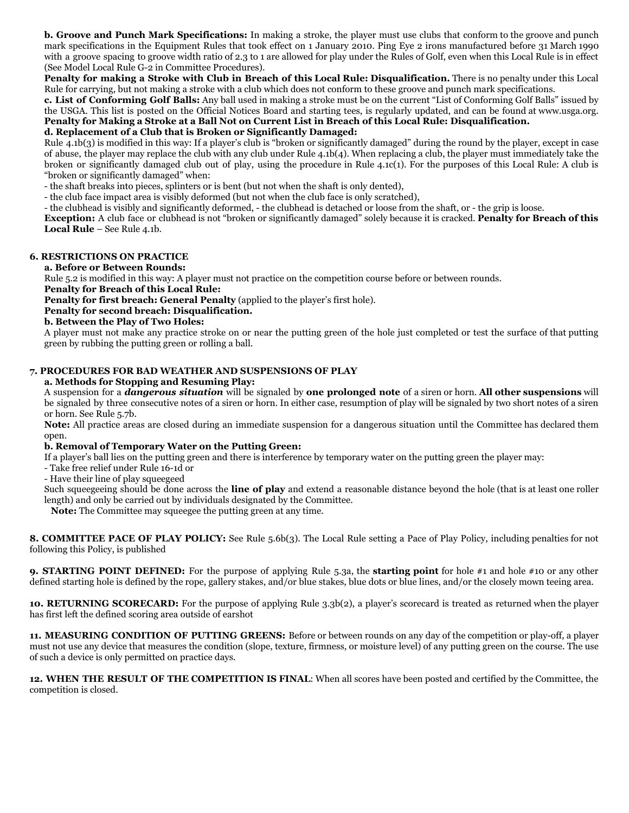**b. Groove and Punch Mark Specifications:** In making a stroke, the player must use clubs that conform to the groove and punch mark specifications in the Equipment Rules that took effect on 1 January 2010. Ping Eye 2 irons manufactured before 31 March 1990 with a groove spacing to groove width ratio of 2.3 to 1 are allowed for play under the Rules of Golf, even when this Local Rule is in effect (See Model Local Rule G-2 in Committee Procedures).

**Penalty for making a Stroke with Club in Breach of this Local Rule: Disqualification.** There is no penalty under this Local Rule for carrying, but not making a stroke with a club which does not conform to these groove and punch mark specifications.

**c. List of Conforming Golf Balls:** Any ball used in making a stroke must be on the current "List of Conforming Golf Balls" issued by the USGA. This list is posted on the Official Notices Board and starting tees, is regularly updated, and can be found at www.usga.org. **Penalty for Making a Stroke at a Ball Not on Current List in Breach of this Local Rule: Disqualification.**

#### **d. Replacement of a Club that is Broken or Significantly Damaged:**

Rule 4.1b(3) is modified in this way: If a player's club is "broken or significantly damaged" during the round by the player, except in case of abuse, the player may replace the club with any club under Rule  $4.1b(4)$ . When replacing a club, the player must immediately take the broken or significantly damaged club out of play, using the procedure in Rule 4.1c(1). For the purposes of this Local Rule: A club is "broken or significantly damaged" when:

- the shaft breaks into pieces, splinters or is bent (but not when the shaft is only dented),

- the club face impact area is visibly deformed (but not when the club face is only scratched),

- the clubhead is visibly and significantly deformed, - the clubhead is detached or loose from the shaft, or - the grip is loose.

**Exception:** A club face or clubhead is not "broken or significantly damaged" solely because it is cracked. **Penalty for Breach of this Local Rule** – See Rule 4.1b.

#### **6. RESTRICTIONS ON PRACTICE**

#### **a. Before or Between Rounds:**

Rule 5.2 is modified in this way: A player must not practice on the competition course before or between rounds.

**Penalty for Breach of this Local Rule:**

**Penalty for first breach: General Penalty** (applied to the player's first hole).

**Penalty for second breach: Disqualification.**

**b. Between the Play of Two Holes:**

A player must not make any practice stroke on or near the putting green of the hole just completed or test the surface of that putting green by rubbing the putting green or rolling a ball.

# **7. PROCEDURES FOR BAD WEATHER AND SUSPENSIONS OF PLAY**

#### **a. Methods for Stopping and Resuming Play:**

A suspension for a *dangerous situation* will be signaled by **one prolonged note** of a siren or horn. **All other suspensions** will be signaled by three consecutive notes of a siren or horn. In either case, resumption of play will be signaled by two short notes of a siren or horn. See Rule 5.7b.

**Note:** All practice areas are closed during an immediate suspension for a dangerous situation until the Committee has declared them open.

#### **b. Removal of Temporary Water on the Putting Green:**

If a player's ball lies on the putting green and there is interference by temporary water on the putting green the player may:

- Take free relief under Rule 16-1d or

- Have their line of play squeegeed

Such squeegeeing should be done across the **line of play** and extend a reasonable distance beyond the hole (that is at least one roller length) and only be carried out by individuals designated by the Committee.

**Note:** The Committee may squeegee the putting green at any time.

**8. COMMITTEE PACE OF PLAY POLICY:** See Rule 5.6b(3). The Local Rule setting a Pace of Play Policy, including penalties for not following this Policy, is published

**9. STARTING POINT DEFINED:** For the purpose of applying Rule 5.3a, the **starting point** for hole #1 and hole #10 or any other defined starting hole is defined by the rope, gallery stakes, and/or blue stakes, blue dots or blue lines, and/or the closely mown teeing area.

**10. RETURNING SCORECARD:** For the purpose of applying Rule 3.3b(2), a player's scorecard is treated as returned when the player has first left the defined scoring area outside of earshot

**11. MEASURING CONDITION OF PUTTING GREENS:** Before or between rounds on any day of the competition or play-off, a player must not use any device that measures the condition (slope, texture, firmness, or moisture level) of any putting green on the course. The use of such a device is only permitted on practice days.

**12. WHEN THE RESULT OF THE COMPETITION IS FINAL**: When all scores have been posted and certified by the Committee, the competition is closed.